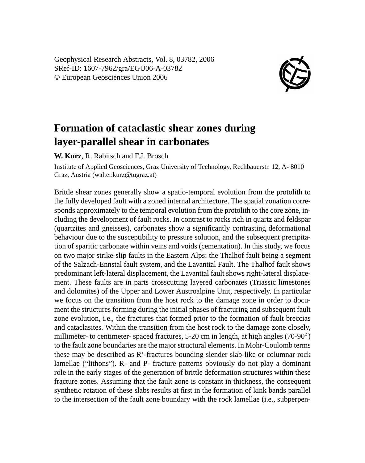Geophysical Research Abstracts, Vol. 8, 03782, 2006 SRef-ID: 1607-7962/gra/EGU06-A-03782 © European Geosciences Union 2006



## **Formation of cataclastic shear zones during layer-parallel shear in carbonates**

**W. Kurz**, R. Rabitsch and F.J. Brosch

Institute of Applied Geosciences, Graz University of Technology, Rechbauerstr. 12, A- 8010 Graz, Austria (walter.kurz@tugraz.at)

Brittle shear zones generally show a spatio-temporal evolution from the protolith to the fully developed fault with a zoned internal architecture. The spatial zonation corresponds approximately to the temporal evolution from the protolith to the core zone, including the development of fault rocks. In contrast to rocks rich in quartz and feldspar (quartzites and gneisses), carbonates show a significantly contrasting deformational behaviour due to the susceptibility to pressure solution, and the subsequent precipitation of sparitic carbonate within veins and voids (cementation). In this study, we focus on two major strike-slip faults in the Eastern Alps: the Thalhof fault being a segment of the Salzach-Ennstal fault system, and the Lavanttal Fault. The Thalhof fault shows predominant left-lateral displacement, the Lavanttal fault shows right-lateral displacement. These faults are in parts crosscutting layered carbonates (Triassic limestones and dolomites) of the Upper and Lower Austroalpine Unit, respectively. In particular we focus on the transition from the host rock to the damage zone in order to document the structures forming during the initial phases of fracturing and subsequent fault zone evolution, i.e., the fractures that formed prior to the formation of fault breccias and cataclasites. Within the transition from the host rock to the damage zone closely, millimeter- to centimeter- spaced fractures, 5-20 cm in length, at high angles (70-90°) to the fault zone boundaries are the major structural elements. In Mohr-Coulomb terms these may be described as R'-fractures bounding slender slab-like or columnar rock lamellae ("lithons"). R- and P- fracture patterns obviously do not play a dominant role in the early stages of the generation of brittle deformation structures within these fracture zones. Assuming that the fault zone is constant in thickness, the consequent synthetic rotation of these slabs results at first in the formation of kink bands parallel to the intersection of the fault zone boundary with the rock lamellae (i.e., subperpen